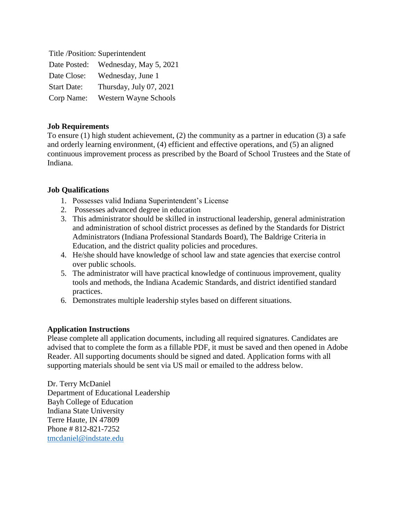| Title /Position: Superintendent |                              |
|---------------------------------|------------------------------|
| Date Posted:                    | Wednesday, May 5, 2021       |
| Date Close:                     | Wednesday, June 1            |
| <b>Start Date:</b>              | Thursday, July 07, 2021      |
| Corp Name:                      | <b>Western Wayne Schools</b> |

## **Job Requirements**

To ensure (1) high student achievement, (2) the community as a partner in education (3) a safe and orderly learning environment, (4) efficient and effective operations, and (5) an aligned continuous improvement process as prescribed by the Board of School Trustees and the State of Indiana.

## **Job Qualifications**

- 1. Possesses valid Indiana Superintendent's License
- 2. Possesses advanced degree in education
- 3. This administrator should be skilled in instructional leadership, general administration and administration of school district processes as defined by the Standards for District Administrators (Indiana Professional Standards Board), The Baldrige Criteria in Education, and the district quality policies and procedures.
- 4. He/she should have knowledge of school law and state agencies that exercise control over public schools.
- 5. The administrator will have practical knowledge of continuous improvement, quality tools and methods, the Indiana Academic Standards, and district identified standard practices.
- 6. Demonstrates multiple leadership styles based on different situations.

## **Application Instructions**

Please complete all application documents, including all required signatures. Candidates are advised that to complete the form as a fillable PDF, it must be saved and then opened in Adobe Reader. All supporting documents should be signed and dated. Application forms with all supporting materials should be sent via US mail or emailed to the address below.

Dr. Terry McDaniel Department of Educational Leadership Bayh College of Education Indiana State University Terre Haute, IN 47809 Phone # 812-821-7252 [tmcdaniel@indstate.edu](mailto:tmcdaniel@indstate.edu)